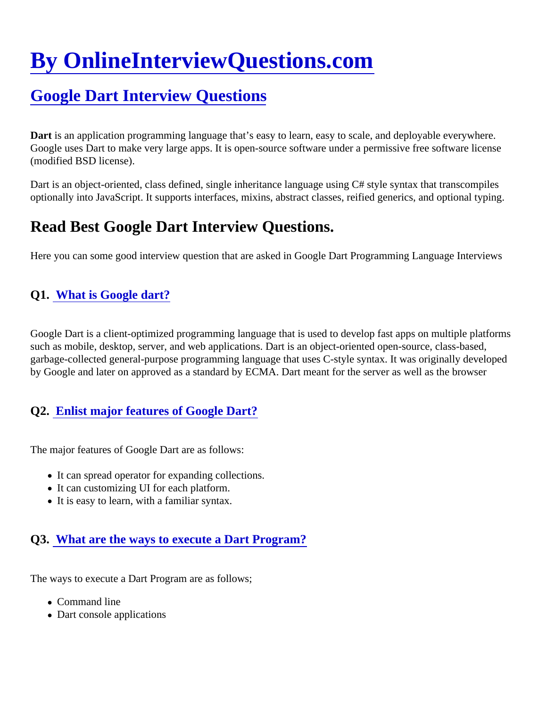# [By OnlineInterviewQuestions.com](https://www.onlineinterviewquestions.com/)

# [Google Dart Interview Questions](https://www.onlineinterviewquestions.com/google-dart-interview-questions/)

Dart is an application programming language that's easy to learn, easy to scale, and deployable everywhere. Google uses Dart to make very large apps. It is open-source software under a permissive free software licens (modified BSD license).

Dart is an object-oriented, class defined, single inheritance language using C# style syntax that transcompiles optionally into JavaScript. It supports interfaces, mixins, abstract classes, reified generics, and optional typing.

# Read Best Google Dart Interview Questions.

Here you can some good interview question that are asked in Google Dart Programming Language Interview

#### Q1. [What is Google dart?](https://www.onlineinterviewquestions.com/what-is-google-dart/)

Google Dart is a client-optimized programming language that is used to develop fast apps on multiple platforr such as mobile, desktop, server, and web applications. Dart is an object-oriented open-source, class-based, garbage-collected general-purpose programming language that uses C-style syntax. It was originally develop by Google and later on approved as a standard by ECMA. Dart meant for the server as well as the browser

#### Q2. [Enlist major features of Google Dart?](https://www.onlineinterviewquestions.com/enlist-major-features-of-google-dart/)

The major features of Google Dart are as follows:

- It can spread operator for expanding collections.
- It can customizing UI for each platform.
- It is easy to learn, with a familiar syntax.

## Q3. [What are the ways to execute a Dart Program](https://www.onlineinterviewquestions.com/what-are-the-ways-to-execute-a-dart-program/)?

The ways to execute a Dart Program are as follows;

- Command line
- Dart console applications